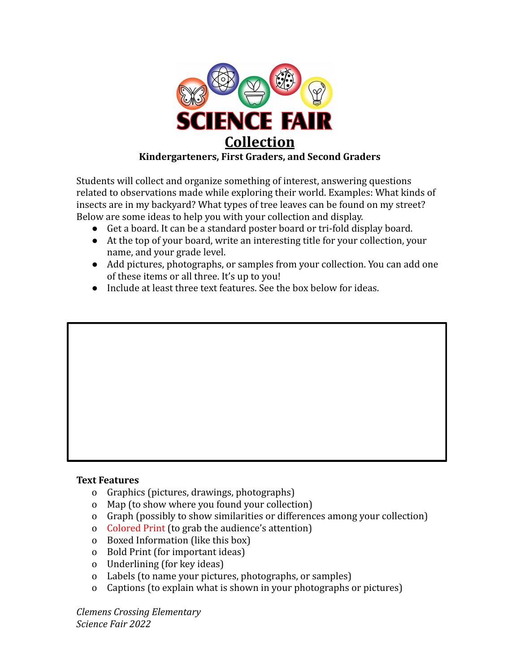

Students will collect and organize something of interest, answering questions related to observations made while exploring their world. Examples: What kinds of insects are in my backyard? What types of tree leaves can be found on my street? Below are some ideas to help you with your collection and display.

- Get a board. It can be a standard poster board or tri-fold display board.
- At the top of your board, write an interesting title for your collection, your name, and your grade level.
- Add pictures, photographs, or samples from your collection. You can add one of these items or all three. It's up to you!
- Include at least three text features. See the box below for ideas.

## **Text Features**

- o Graphics (pictures, drawings, photographs)
- o Map (to show where you found your collection)
- o Graph (possibly to show similarities or differences among your collection)
- o Colored Print (to grab the audience's attention)
- o Boxed Information (like this box)
- o Bold Print (for important ideas)
- o Underlining (for key ideas)
- o Labels (to name your pictures, photographs, or samples)
- o Captions (to explain what is shown in your photographs or pictures)

*Clemens Crossing Elementary Science Fair 2022*